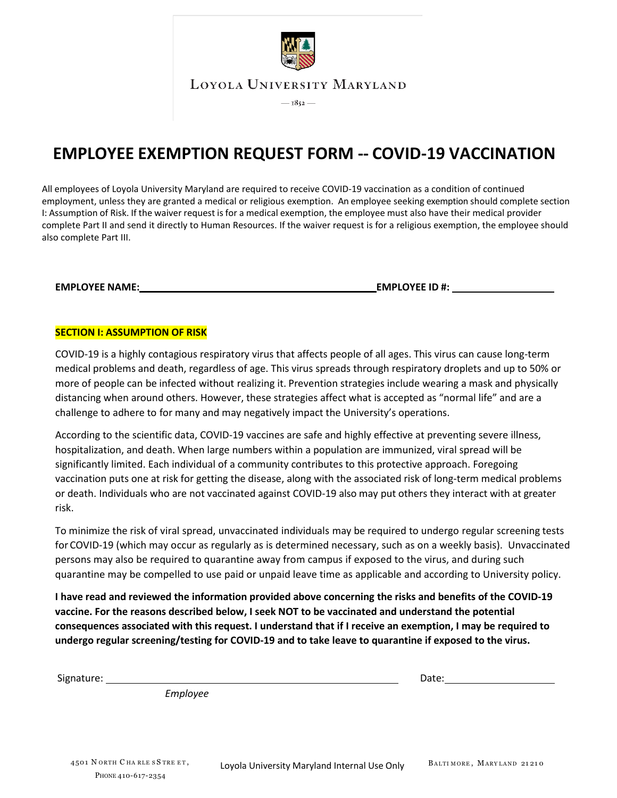

## **EMPLOYEE EXEMPTION REQUEST FORM -- COVID-19 VACCINATION**

All employees of Loyola University Maryland are required to receive COVID-19 vaccination as a condition of continued employment, unless they are granted a medical or religious exemption. An employee seeking exemption should complete section I: Assumption of Risk. If the waiver request is for a medical exemption, the employee must also have their medical provider complete Part II and send it directly to Human Resources. If the waiver request is for a religious exemption, the employee should also complete Part III.

**EMPLOYEE NAME: EMPLOYEE ID #:**

## **SECTION I: ASSUMPTION OF RISK**

COVID-19 is a highly contagious respiratory virus that affects people of all ages. This virus can cause long-term medical problems and death, regardless of age. This virus spreads through respiratory droplets and up to 50% or more of people can be infected without realizing it. Prevention strategies include wearing a mask and physically distancing when around others. However, these strategies affect what is accepted as "normal life" and are a challenge to adhere to for many and may negatively impact the University's operations.

According to the scientific data, COVID-19 vaccines are safe and highly effective at preventing severe illness, hospitalization, and death. When large numbers within a population are immunized, viral spread will be significantly limited. Each individual of a community contributes to this protective approach. Foregoing vaccination puts one at risk for getting the disease, along with the associated risk of long-term medical problems or death. Individuals who are not vaccinated against COVID-19 also may put others they interact with at greater risk.

To minimize the risk of viral spread, unvaccinated individuals may be required to undergo regular screening tests for COVID-19 (which may occur as regularly as is determined necessary, such as on a weekly basis). Unvaccinated persons may also be required to quarantine away from campus if exposed to the virus, and during such quarantine may be compelled to use paid or unpaid leave time as applicable and according to University policy.

**I have read and reviewed the information provided above concerning the risks and benefits of the COVID-19 vaccine. For the reasons described below, I seek NOT to be vaccinated and understand the potential consequences associated with this request. I understand that if I receive an exemption, I may be required to undergo regular screening/testing for COVID-19 and to take leave to quarantine if exposed to the virus.**

Signature: *Employee* Date: